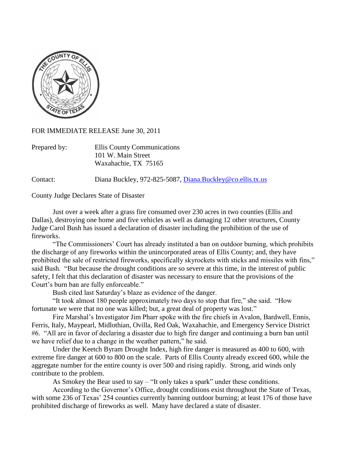

FOR IMMEDIATE RELEASE June 30, 2011

| Prepared by: | Ellis County Communications |
|--------------|-----------------------------|
|              | 101 W. Main Street          |
|              | Waxahachie, TX 75165        |

Contact: Diana Buckley, 972-825-5087, [Diana.Buckley@co.ellis.tx.us](mailto:Diana.Buckley@co.ellis.tx.us)

County Judge Declares State of Disaster

Just over a week after a grass fire consumed over 230 acres in two counties (Ellis and Dallas), destroying one home and five vehicles as well as damaging 12 other structures, County Judge Carol Bush has issued a declaration of disaster including the prohibition of the use of fireworks.

"The Commissioners' Court has already instituted a ban on outdoor burning, which prohibits the discharge of any fireworks within the unincorporated areas of Ellis County; and, they have prohibited the sale of restricted fireworks, specifically skyrockets with sticks and missiles with fins," said Bush. "But because the drought conditions are so severe at this time, in the interest of public safety, I felt that this declaration of disaster was necessary to ensure that the provisions of the Court's burn ban are fully enforceable."

Bush cited last Saturday's blaze as evidence of the danger.

"It took almost 180 people approximately two days to stop that fire," she said. "How fortunate we were that no one was killed; but, a great deal of property was lost."

Fire Marshal's Investigator Jim Pharr spoke with the fire chiefs in Avalon, Bardwell, Ennis, Ferris, Italy, Maypearl, Midlothian, Ovilla, Red Oak, Waxahachie, and Emergency Service District #6. "All are in favor of declaring a disaster due to high fire danger and continuing a burn ban until we have relief due to a change in the weather pattern," he said.

Under the Keetch Byram Drought Index, high fire danger is measured as 400 to 600, with extreme fire danger at 600 to 800 on the scale. Parts of Ellis County already exceed 600, while the aggregate number for the entire county is over 500 and rising rapidly. Strong, arid winds only contribute to the problem.

As Smokey the Bear used to say – "It only takes a spark" under these conditions.

According to the Governor's Office, drought conditions exist throughout the State of Texas, with some 236 of Texas' 254 counties currently banning outdoor burning; at least 176 of those have prohibited discharge of fireworks as well. Many have declared a state of disaster.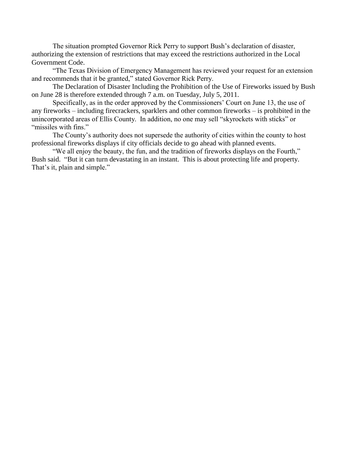The situation prompted Governor Rick Perry to support Bush's declaration of disaster, authorizing the extension of restrictions that may exceed the restrictions authorized in the Local Government Code.

"The Texas Division of Emergency Management has reviewed your request for an extension and recommends that it be granted," stated Governor Rick Perry.

The Declaration of Disaster Including the Prohibition of the Use of Fireworks issued by Bush on June 28 is therefore extended through 7 a.m. on Tuesday, July 5, 2011.

Specifically, as in the order approved by the Commissioners' Court on June 13, the use of any fireworks – including firecrackers, sparklers and other common fireworks – is prohibited in the unincorporated areas of Ellis County. In addition, no one may sell "skyrockets with sticks" or "missiles with fins."

The County's authority does not supersede the authority of cities within the county to host professional fireworks displays if city officials decide to go ahead with planned events.

"We all enjoy the beauty, the fun, and the tradition of fireworks displays on the Fourth," Bush said. "But it can turn devastating in an instant. This is about protecting life and property. That's it, plain and simple."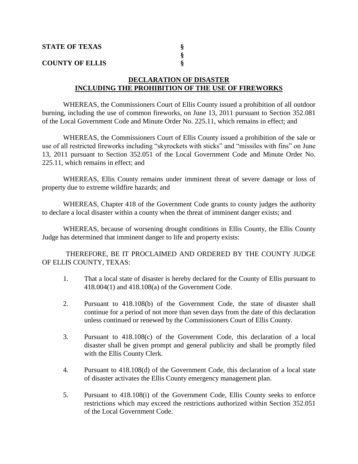| <b>STATE OF TEXAS</b>  |  |
|------------------------|--|
|                        |  |
| <b>COUNTY OF ELLIS</b> |  |

## **DECLARATION OF DISASTER INCLUDING THE PROHIBITION OF THE USE OF FIREWORKS**

WHEREAS, the Commissioners Court of Ellis County issued a prohibition of all outdoor burning, including the use of common fireworks, on June 13, 2011 pursuant to Section 352.081 of the Local Government Code and Minute Order No. 225.11, which remains in effect; and

WHEREAS, the Commissioners Court of Ellis County issued a prohibition of the sale or use of all restricted fireworks including "skyrockets with sticks" and "missiles with fins" on June 13, 2011 pursuant to Section 352.051 of the Local Government Code and Minute Order No. 225.11, which remains in effect; and

WHEREAS, Ellis County remains under imminent threat of severe damage or loss of property due to extreme wildfire hazards; and

WHEREAS, Chapter 418 of the Government Code grants to county judges the authority to declare a local disaster within a county when the threat of imminent danger exists; and

WHEREAS, because of worsening drought conditions in Ellis County, the Ellis County Judge has determined that imminent danger to life and property exists:

THEREFORE, BE IT PROCLAIMED AND ORDERED BY THE COUNTY JUDGE OF ELLIS COUNTY, TEXAS:

- 1. That a local state of disaster is hereby declared for the County of Ellis pursuant to 418.004(1) and 418.108(a) of the Government Code.
- 2. Pursuant to 418.108(b) of the Government Code, the state of disaster shall continue for a period of not more than seven days from the date of this declaration unless continued or renewed by the Commissioners Court of Ellis County.
- 3. Pursuant to 418.108(c) of the Government Code, this declaration of a local disaster shall be given prompt and general publicity and shall be promptly filed with the Ellis County Clerk.
- 4. Pursuant to 418.108(d) of the Government Code, this declaration of a local state of disaster activates the Ellis County emergency management plan.
- 5. Pursuant to 418.108(i) of the Government Code, Ellis County seeks to enforce restrictions which may exceed the restrictions authorized within Section 352.051 of the Local Government Code.